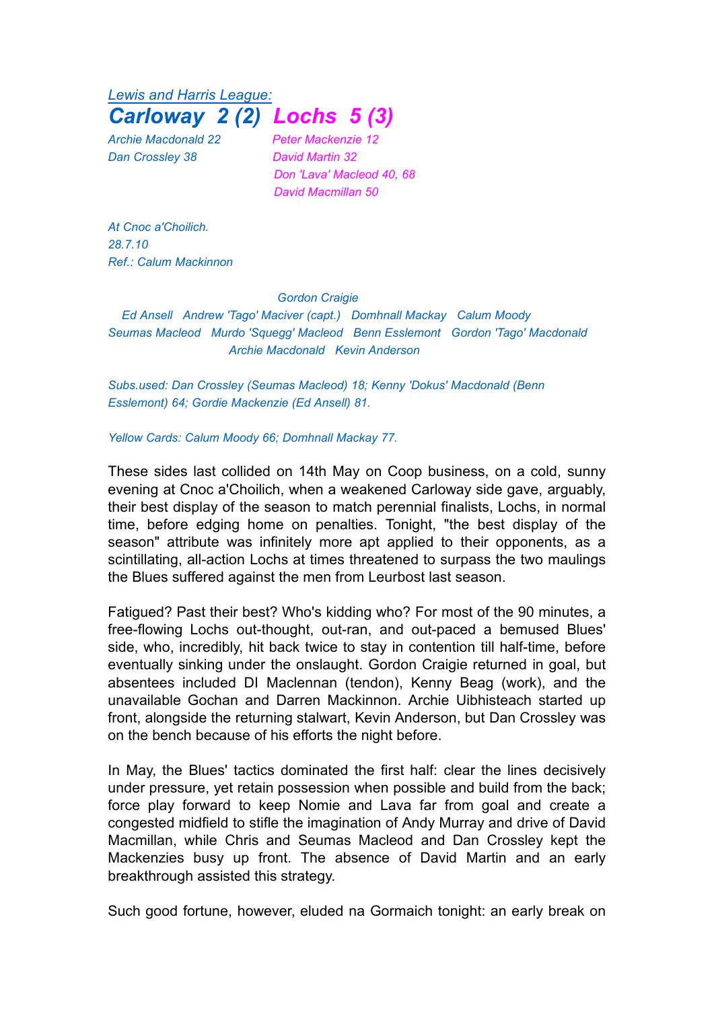*Lewis and Harris League: Carloway 2 (2) Lochs 5 (3)*

*Dan Crossley 38 David Martin 32*

*Archie Macdonald 22 Peter Mackenzie 12 Don 'Lava' Macleod 40, 68 David Macmillan 50*

*At Cnoc a'Choilich. 28.7.10 Ref.: Calum Mackinnon*

## *Gordon Craigie*

*Ed Ansell Andrew 'Tago' Maciver (capt.) Domhnall Mackay Calum Moody Seumas Macleod Murdo 'Squegg' Macleod Benn Esslemont Gordon 'Tago' Macdonald Archie Macdonald Kevin Anderson*

*Subs.used: Dan Crossley (Seumas Macleod) 18; Kenny 'Dokus' Macdonald (Benn Esslemont) 64; Gordie Mackenzie (Ed Ansell) 81.*

*Yellow Cards: Calum Moody 66; Domhnall Mackay 77.*

These sides last collided on 14th May on Coop business, on a cold, sunny evening at Cnoc a'Choilich, when a weakened Carloway side gave, arguably, their best display of the season to match perennial finalists, Lochs, in normal time, before edging home on penalties. Tonight, "the best display of the season" attribute was infinitely more apt applied to their opponents, as a scintillating, all-action Lochs at times threatened to surpass the two maulings the Blues suffered against the men from Leurbost last season.

Fatigued? Past their best? Who's kidding who? For most of the 90 minutes, a free-flowing Lochs out-thought, out-ran, and out-paced a bemused Blues' side, who, incredibly, hit back twice to stay in contention till half-time, before eventually sinking under the onslaught. Gordon Craigie returned in goal, but absentees included DI Maclennan (tendon), Kenny Beag (work), and the unavailable Gochan and Darren Mackinnon. Archie Uibhisteach started up front, alongside the returning stalwart, Kevin Anderson, but Dan Crossley was on the bench because of his efforts the night before.

In May, the Blues' tactics dominated the first half: clear the lines decisively under pressure, yet retain possession when possible and build from the back; force play forward to keep Nomie and Lava far from goal and create a congested midfield to stifle the imagination of Andy Murray and drive of David Macmillan, while Chris and Seumas Macleod and Dan Crossley kept the Mackenzies busy up front. The absence of David Martin and an early breakthrough assisted this strategy.

Such good fortune, however, eluded na Gormaich tonight: an early break on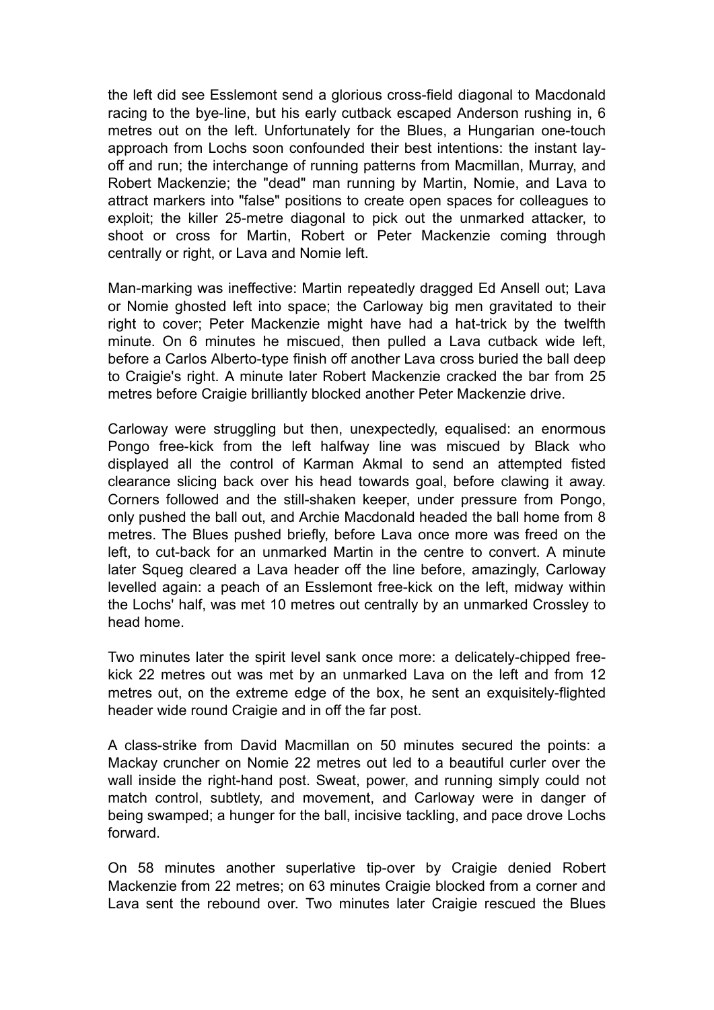the left did see Esslemont send a glorious cross-field diagonal to Macdonald racing to the bye-line, but his early cutback escaped Anderson rushing in, 6 metres out on the left. Unfortunately for the Blues, a Hungarian one-touch approach from Lochs soon confounded their best intentions: the instant layoff and run; the interchange of running patterns from Macmillan, Murray, and Robert Mackenzie; the "dead" man running by Martin, Nomie, and Lava to attract markers into "false" positions to create open spaces for colleagues to exploit; the killer 25-metre diagonal to pick out the unmarked attacker, to shoot or cross for Martin, Robert or Peter Mackenzie coming through centrally or right, or Lava and Nomie left.

Man-marking was ineffective: Martin repeatedly dragged Ed Ansell out; Lava or Nomie ghosted left into space; the Carloway big men gravitated to their right to cover; Peter Mackenzie might have had a hat-trick by the twelfth minute. On 6 minutes he miscued, then pulled a Lava cutback wide left, before a Carlos Alberto-type finish off another Lava cross buried the ball deep to Craigie's right. A minute later Robert Mackenzie cracked the bar from 25 metres before Craigie brilliantly blocked another Peter Mackenzie drive.

Carloway were struggling but then, unexpectedly, equalised: an enormous Pongo free-kick from the left halfway line was miscued by Black who displayed all the control of Karman Akmal to send an attempted fisted clearance slicing back over his head towards goal, before clawing it away. Corners followed and the still-shaken keeper, under pressure from Pongo, only pushed the ball out, and Archie Macdonald headed the ball home from 8 metres. The Blues pushed briefly, before Lava once more was freed on the left, to cut-back for an unmarked Martin in the centre to convert. A minute later Squeg cleared a Lava header off the line before, amazingly, Carloway levelled again: a peach of an Esslemont free-kick on the left, midway within the Lochs' half, was met 10 metres out centrally by an unmarked Crossley to head home.

Two minutes later the spirit level sank once more: a delicately-chipped freekick 22 metres out was met by an unmarked Lava on the left and from 12 metres out, on the extreme edge of the box, he sent an exquisitely-flighted header wide round Craigie and in off the far post.

A class-strike from David Macmillan on 50 minutes secured the points: a Mackay cruncher on Nomie 22 metres out led to a beautiful curler over the wall inside the right-hand post. Sweat, power, and running simply could not match control, subtlety, and movement, and Carloway were in danger of being swamped; a hunger for the ball, incisive tackling, and pace drove Lochs forward.

On 58 minutes another superlative tip-over by Craigie denied Robert Mackenzie from 22 metres; on 63 minutes Craigie blocked from a corner and Lava sent the rebound over. Two minutes later Craigie rescued the Blues